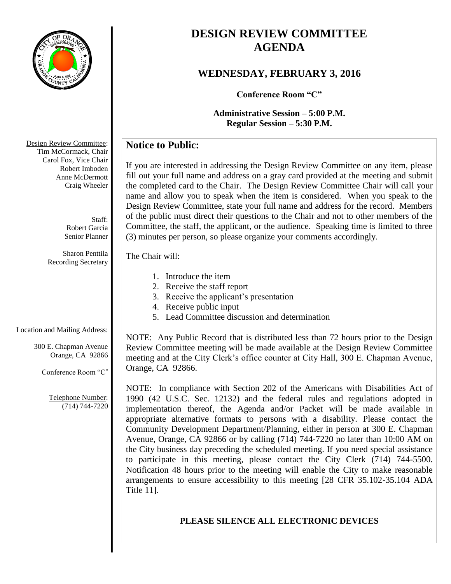

# **DESIGN REVIEW COMMITTEE AGENDA**

# **WEDNESDAY, FEBRUARY 3, 2016**

**Conference Room "C"**

**Administrative Session – 5:00 P.M. Regular Session – 5:30 P.M.**

# **Notice to Public:**

If you are interested in addressing the Design Review Committee on any item, please fill out your full name and address on a gray card provided at the meeting and submit the completed card to the Chair. The Design Review Committee Chair will call your name and allow you to speak when the item is considered. When you speak to the Design Review Committee, state your full name and address for the record. Members of the public must direct their questions to the Chair and not to other members of the Committee, the staff, the applicant, or the audience. Speaking time is limited to three (3) minutes per person, so please organize your comments accordingly.

### The Chair will:

- 1. Introduce the item
- 2. Receive the staff report
- 3. Receive the applicant's presentation
- 4. Receive public input
- 5. Lead Committee discussion and determination

# Location and Mailing Address:

300 E. Chapman Avenue Orange, CA 92866

Conference Room "C"

Telephone Number: (714) 744-7220

NOTE: Any Public Record that is distributed less than 72 hours prior to the Design Review Committee meeting will be made available at the Design Review Committee meeting and at the City Clerk's office counter at City Hall, 300 E. Chapman Avenue, Orange, CA 92866.

NOTE: In compliance with Section 202 of the Americans with Disabilities Act of 1990 (42 U.S.C. Sec. 12132) and the federal rules and regulations adopted in implementation thereof, the Agenda and/or Packet will be made available in appropriate alternative formats to persons with a disability. Please contact the Community Development Department/Planning, either in person at 300 E. Chapman Avenue, Orange, CA 92866 or by calling (714) 744-7220 no later than 10:00 AM on the City business day preceding the scheduled meeting. If you need special assistance to participate in this meeting, please contact the City Clerk (714) 744-5500. Notification 48 hours prior to the meeting will enable the City to make reasonable arrangements to ensure accessibility to this meeting [28 CFR 35.102-35.104 ADA Title 11].

# **PLEASE SILENCE ALL ELECTRONIC DEVICES**

Design Review Committee: Tim McCormack, Chair Carol Fox, Vice Chair Robert Imboden Anne McDermott Craig Wheeler

> Staff: Robert Garcia Senior Planner

Sharon Penttila Recording Secretary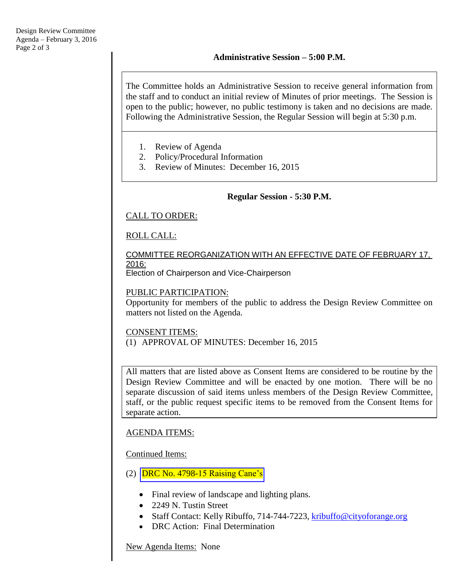The Committee holds an Administrative Session to receive general information from the staff and to conduct an initial review of Minutes of prior meetings. The Session is open to the public; however, no public testimony is taken and no decisions are made. Following the Administrative Session, the Regular Session will begin at 5:30 p.m.

- 1. Review of Agenda
- 2. Policy/Procedural Information
- 3. Review of Minutes: December 16, 2015

### **Regular Session - 5:30 P.M.**

### CALL TO ORDER:

### ROLL CALL:

### COMMITTEE REORGANIZATION WITH AN EFFECTIVE DATE OF FEBRUARY 17, 2016:

Election of Chairperson and Vice-Chairperson

### PUBLIC PARTICIPATION:

Opportunity for members of the public to address the Design Review Committee on matters not listed on the Agenda.

### CONSENT ITEMS:

(1) APPROVAL OF MINUTES: December 16, 2015

All matters that are listed above as Consent Items are considered to be routine by the Design Review Committee and will be enacted by one motion. There will be no separate discussion of said items unless members of the Design Review Committee, staff, or the public request specific items to be removed from the Consent Items for separate action.

### AGENDA ITEMS:

### Continued Items:

- (2) [DRC No. 4798-15 Raising Cane's](http://www.cityoforange.org/civicax/filebank/blobdload.aspx?BlobID=17317)
	- Final review of landscape and lighting plans.
	- 2249 N. Tustin Street
	- Staff Contact: Kelly Ribuffo, 714-744-7223, [kribuffo@cityoforange.org](mailto:kribuffo@cityoforange.org)
	- DRC Action: Final Determination

New Agenda Items: None